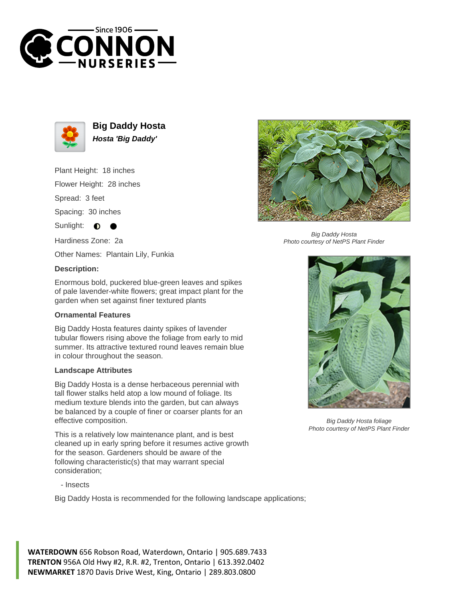



**Big Daddy Hosta Hosta 'Big Daddy'**

Plant Height: 18 inches

Flower Height: 28 inches

Spread: 3 feet

Spacing: 30 inches

Sunlight:  $\bullet$ 

Hardiness Zone: 2a

Other Names: Plantain Lily, Funkia

## **Description:**

Enormous bold, puckered blue-green leaves and spikes of pale lavender-white flowers; great impact plant for the garden when set against finer textured plants

## **Ornamental Features**

Big Daddy Hosta features dainty spikes of lavender tubular flowers rising above the foliage from early to mid summer. Its attractive textured round leaves remain blue in colour throughout the season.

## **Landscape Attributes**

Big Daddy Hosta is a dense herbaceous perennial with tall flower stalks held atop a low mound of foliage. Its medium texture blends into the garden, but can always be balanced by a couple of finer or coarser plants for an effective composition.

This is a relatively low maintenance plant, and is best cleaned up in early spring before it resumes active growth for the season. Gardeners should be aware of the following characteristic(s) that may warrant special consideration;

- Insects

Big Daddy Hosta is recommended for the following landscape applications;

**WATERDOWN** 656 Robson Road, Waterdown, Ontario | 905.689.7433 **TRENTON** 956A Old Hwy #2, R.R. #2, Trenton, Ontario | 613.392.0402 **NEWMARKET** 1870 Davis Drive West, King, Ontario | 289.803.0800



Big Daddy Hosta Photo courtesy of NetPS Plant Finder



Big Daddy Hosta foliage Photo courtesy of NetPS Plant Finder